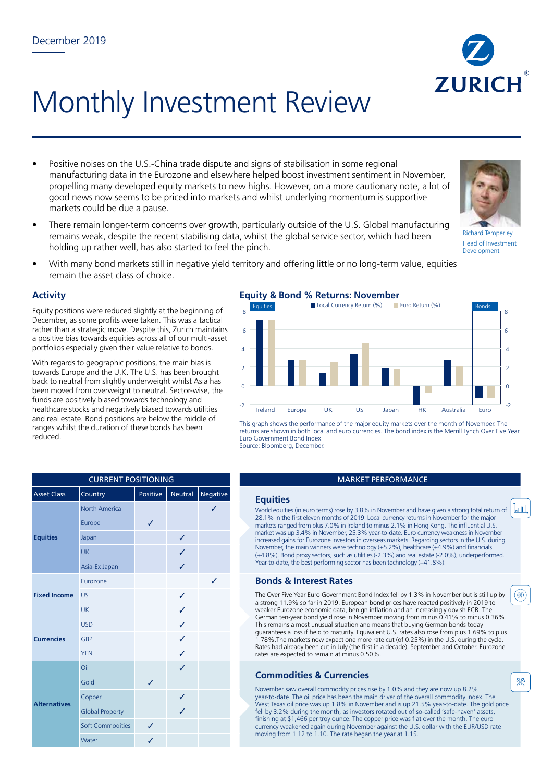

- Positive noises on the U.S.-China trade dispute and signs of stabilisation in some regional manufacturing data in the Eurozone and elsewhere helped boost investment sentiment in November, propelling many developed equity markets to new highs. However, on a more cautionary note, a lot of good news now seems to be priced into markets and whilst underlying momentum is supportive markets could be due a pause.
- There remain longer-term concerns over growth, particularly outside of the U.S. Global manufacturing remains weak, despite the recent stabilising data, whilst the global service sector, which had been holding up rather well, has also started to feel the pinch.
- With many bond markets still in negative yield territory and offering little or no long-term value, equities remain the asset class of choice.

### **Activity**

Equity positions were reduced slightly at the beginning of December, as some profits were taken. This was a tactical rather than a strategic move. Despite this, Zurich maintains a positive bias towards equities across all of our multi-asset portfolios especially given their value relative to bonds.

With regards to geographic positions, the main bias is towards Europe and the U.K. The U.S. has been brought back to neutral from slightly underweight whilst Asia has been moved from overweight to neutral. Sector-wise, the funds are positively biased towards technology and healthcare stocks and negatively biased towards utilities and real estate. Bond positions are below the middle of ranges whilst the duration of these bonds has been reduced.

|                     | <b>CURRENT POSITIONING</b> |              |                |                 |                                  |
|---------------------|----------------------------|--------------|----------------|-----------------|----------------------------------|
| <b>Asset Class</b>  | Country                    | Positive     | <b>Neutral</b> | <b>Negative</b> | <b>Equities</b>                  |
| <b>Equities</b>     | <b>North America</b>       |              |                | J               | World equitie                    |
|                     | Europe                     | $\checkmark$ |                |                 | 28.1% in the<br>markets rang     |
|                     | Japan                      |              | ✓              |                 | market was u<br>increased gai    |
|                     | <b>UK</b>                  |              | ✓              |                 | November, th<br>$(+4.8\%)$ . Bor |
|                     | Asia-Ex Japan              |              | ✓              |                 | Year-to-date,                    |
| <b>Fixed Income</b> | Eurozone                   |              |                | ✓               | <b>Bonds 8</b>                   |
|                     | <b>US</b>                  |              | ✓              |                 | The Over Fiv<br>a strong 11.     |
|                     | UK                         |              | ✓              |                 | weaker Euro<br>German ten-       |
| <b>Currencies</b>   | <b>USD</b>                 |              | ✓              |                 | This remains                     |
|                     | GBP                        |              | J              |                 | quarantees a<br>1.78%. The r     |
|                     | <b>YEN</b>                 |              | ✓              |                 | Rates had alı<br>rates are exp   |
| <b>Alternatives</b> | Oil                        |              | ✓              |                 | <b>Commo</b>                     |
|                     | Gold                       | J            |                |                 | November sa                      |
|                     | Copper                     |              | ✓              |                 | year-to-date<br>West Texas o     |
|                     | <b>Global Property</b>     |              | ✓              |                 | fell by $3.2\%$                  |
|                     | <b>Soft Commodities</b>    | ✓            |                |                 | finishing at \$<br>currency we   |
|                     | Water                      | ✓            |                |                 | moving from                      |

### **Equity & Bond % Returns: November**



This graph shows the performance of the major equity markets over the month of November. The returns are shown in both local and euro currencies. The bond index is the Merrill Lynch Over Five Year Euro Government Bond Index. Source: Bloomberg, December.

# **MARKET PERFORMANCE**

World equities (in euro terms) rose by 3.8% in November and have given a strong total return of 28.1% in the first eleven months of 2019. Local currency returns in November for the major markets ranged from plus 7.0% in Ireland to minus 2.1% in Hong Kong. The influential U.S. market was up 3.4% in November, 25.3% year-to-date. Euro currency weakness in November increased gains for Eurozone investors in overseas markets. Regarding sectors in the U.S. during November, the main winners were technology (+5.2%), healthcare (+4.9%) and financials (+4.8%). Bond proxy sectors, such as utilities (-2.3%) and real estate (-2.0%), underperformed. Year-to-date, the best performing sector has been technology (+41.8%).

### **Bonds & Interest Rates**

The Over Five Year Euro Government Bond Index fell by 1.3% in November but is still up by a strong 11.9% so far in 2019. European bond prices have reacted positively in 2019 to weaker Eurozone economic data, benign inflation and an increasingly dovish ECB. The German ten-year bond yield rose in November moving from minus 0.41% to minus 0.36%. This remains a most unusual situation and means that buying German bonds today guarantees a loss if held to maturity. Equivalent U.S. rates also rose from plus 1.69% to plus 1.78%.The markets now expect one more rate cut (of 0.25%) in the U.S. during the cycle. Rates had already been cut in July (the first in a decade), September and October. Eurozone rates are expected to remain at minus 0.50%.

## **Commodities & Currencies**

November saw overall commodity prices rise by 1.0% and they are now up 8.2% year-to-date. The oil price has been the main driver of the overall commodity index. The West Texas oil price was up 1.8% in November and is up 21.5% year-to-date. The gold price fell by 3.2% during the month, as investors rotated out of so-called 'safe-haven' assets, finishing at \$1,466 per troy ounce. The copper price was flat over the month. The euro currency weakened again during November against the U.S. dollar with the EUR/USD rate moving from 1.12 to 1.10. The rate began the year at 1.15.









殩

<u>Looll</u>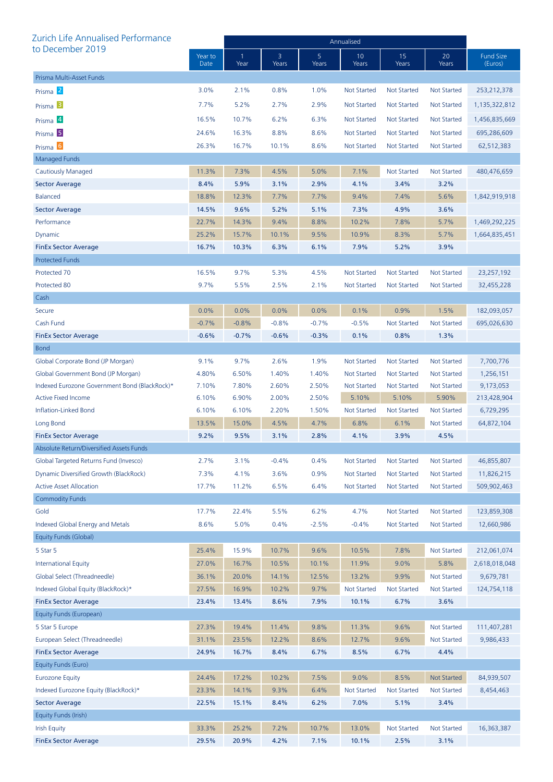| Zurich Life Annualised Performance            |                 | Annualised |            |            |                    |                    |                    |                             |  |
|-----------------------------------------------|-----------------|------------|------------|------------|--------------------|--------------------|--------------------|-----------------------------|--|
| to December 2019                              | Year to<br>Date | 1<br>Year  | 3<br>Years | 5<br>Years | 10<br>Years        | 15<br>Years        | 20<br>Years        | <b>Fund Size</b><br>(Euros) |  |
| Prisma Multi-Asset Funds                      |                 |            |            |            |                    |                    |                    |                             |  |
| Prisma <sup>2</sup>                           | 3.0%            | 2.1%       | 0.8%       | 1.0%       | <b>Not Started</b> | <b>Not Started</b> | <b>Not Started</b> | 253, 212, 378               |  |
| Prisma <sup>3</sup>                           | 7.7%            | 5.2%       | 2.7%       | 2.9%       | <b>Not Started</b> | Not Started        | Not Started        | 1,135,322,812               |  |
| Prisma 4                                      | 16.5%           | 10.7%      | 6.2%       | 6.3%       | <b>Not Started</b> | <b>Not Started</b> | <b>Not Started</b> | 1,456,835,669               |  |
| Prisma <sup>5</sup>                           | 24.6%           | 16.3%      | 8.8%       | 8.6%       | <b>Not Started</b> | Not Started        | <b>Not Started</b> | 695,286,609                 |  |
| Prisma <sup>6</sup>                           | 26.3%           | 16.7%      | 10.1%      | 8.6%       | <b>Not Started</b> | <b>Not Started</b> | <b>Not Started</b> | 62,512,383                  |  |
| <b>Managed Funds</b>                          |                 |            |            |            |                    |                    |                    |                             |  |
| Cautiously Managed                            | 11.3%           | 7.3%       | 4.5%       | 5.0%       | 7.1%               | <b>Not Started</b> | <b>Not Started</b> | 480,476,659                 |  |
| <b>Sector Average</b>                         | 8.4%            | 5.9%       | 3.1%       | 2.9%       | 4.1%               | 3.4%               | 3.2%               |                             |  |
| <b>Balanced</b>                               | 18.8%           | 12.3%      | 7.7%       | 7.7%       | 9.4%               | 7.4%               | 5.6%               | 1,842,919,918               |  |
| <b>Sector Average</b>                         | 14.5%           | 9.6%       | 5.2%       | 5.1%       | 7.3%               | 4.9%               | 3.6%               |                             |  |
| Performance                                   | 22.7%           | 14.3%      | 9.4%       | 8.8%       | 10.2%              | 7.8%               | 5.7%               | 1,469,292,225               |  |
| Dynamic                                       | 25.2%           | 15.7%      | 10.1%      | 9.5%       | 10.9%              | 8.3%               | 5.7%               | 1,664,835,451               |  |
| <b>FinEx Sector Average</b>                   | 16.7%           | 10.3%      | 6.3%       | 6.1%       | 7.9%               | 5.2%               | 3.9%               |                             |  |
| <b>Protected Funds</b>                        |                 |            |            |            |                    |                    |                    |                             |  |
| Protected 70                                  | 16.5%           | 9.7%       | 5.3%       | 4.5%       | <b>Not Started</b> | <b>Not Started</b> | Not Started        | 23,257,192                  |  |
| Protected 80                                  | 9.7%            | 5.5%       | 2.5%       | 2.1%       | <b>Not Started</b> | <b>Not Started</b> | Not Started        | 32,455,228                  |  |
| Cash                                          |                 |            |            |            |                    |                    |                    |                             |  |
| Secure                                        | 0.0%            | 0.0%       | 0.0%       | 0.0%       | 0.1%               | 0.9%               | 1.5%               | 182,093,057                 |  |
| Cash Fund                                     | $-0.7%$         | $-0.8%$    | $-0.8%$    | $-0.7%$    | $-0.5%$            | <b>Not Started</b> | <b>Not Started</b> | 695,026,630                 |  |
| <b>FinEx Sector Average</b>                   | $-0.6%$         | $-0.7%$    | $-0.6%$    | $-0.3%$    | 0.1%               | 0.8%               | 1.3%               |                             |  |
| <b>Bond</b>                                   |                 |            |            |            |                    |                    |                    |                             |  |
| Global Corporate Bond (JP Morgan)             | 9.1%            | 9.7%       | 2.6%       | 1.9%       | <b>Not Started</b> | <b>Not Started</b> | <b>Not Started</b> | 7,700,776                   |  |
| Global Government Bond (JP Morgan)            | 4.80%           | 6.50%      | 1.40%      | 1.40%      | <b>Not Started</b> | <b>Not Started</b> | Not Started        | 1,256,151                   |  |
| Indexed Eurozone Government Bond (BlackRock)* | 7.10%           | 7.80%      | 2.60%      | 2.50%      | <b>Not Started</b> | <b>Not Started</b> | <b>Not Started</b> | 9,173,053                   |  |
| <b>Active Fixed Income</b>                    | 6.10%           | 6.90%      | 2.00%      | 2.50%      | 5.10%              | 5.10%              | 5.90%              | 213,428,904                 |  |
| Inflation-Linked Bond                         | 6.10%           | 6.10%      | 2.20%      | 1.50%      | Not Started        | <b>Not Started</b> | <b>Not Started</b> | 6,729,295                   |  |
| Long Bond                                     | 13.5%           | 15.0%      | 4.5%       | 4.7%       | 6.8%               | 6.1%               | <b>Not Started</b> | 64,872,104                  |  |
| <b>FinEx Sector Average</b>                   | 9.2%            | 9.5%       | 3.1%       | 2.8%       | 4.1%               | 3.9%               | 4.5%               |                             |  |
| Absolute Return/Diversified Assets Funds      |                 |            |            |            |                    |                    |                    |                             |  |
| Global Targeted Returns Fund (Invesco)        | 2.7%            | 3.1%       | $-0.4%$    | 0.4%       | <b>Not Started</b> | <b>Not Started</b> | <b>Not Started</b> | 46,855,807                  |  |
| Dynamic Diversified Growth (BlackRock)        | 7.3%            | 4.1%       | 3.6%       | 0.9%       | <b>Not Started</b> | <b>Not Started</b> | <b>Not Started</b> | 11,826,215                  |  |
| <b>Active Asset Allocation</b>                | 17.7%           | 11.2%      | 6.5%       | 6.4%       | <b>Not Started</b> | <b>Not Started</b> | <b>Not Started</b> | 509,902,463                 |  |
| <b>Commodity Funds</b>                        |                 |            |            |            |                    |                    |                    |                             |  |
| Gold                                          | 17.7%           | 22.4%      | 5.5%       | 6.2%       | 4.7%               | <b>Not Started</b> | <b>Not Started</b> | 123,859,308                 |  |
| Indexed Global Energy and Metals              | 8.6%            | 5.0%       | 0.4%       | $-2.5%$    | $-0.4%$            | <b>Not Started</b> | <b>Not Started</b> | 12,660,986                  |  |
| Equity Funds (Global)                         |                 |            |            |            |                    |                    |                    |                             |  |
| 5 Star 5                                      | 25.4%           | 15.9%      | 10.7%      | 9.6%       | 10.5%              | 7.8%               | <b>Not Started</b> | 212,061,074                 |  |
| <b>International Equity</b>                   | 27.0%           | 16.7%      | 10.5%      | 10.1%      | 11.9%              | 9.0%               | 5.8%               | 2,618,018,048               |  |
| Global Select (Threadneedle)                  | 36.1%           | 20.0%      | 14.1%      | 12.5%      | 13.2%              | 9.9%               | <b>Not Started</b> | 9,679,781                   |  |
| Indexed Global Equity (BlackRock)*            | 27.5%           | 16.9%      | 10.2%      | 9.7%       | <b>Not Started</b> | <b>Not Started</b> | <b>Not Started</b> | 124,754,118                 |  |
| <b>FinEx Sector Average</b>                   | 23.4%           | 13.4%      | 8.6%       | 7.9%       | 10.1%              | 6.7%               | 3.6%               |                             |  |
| Equity Funds (European)                       |                 |            |            |            |                    |                    |                    |                             |  |
| 5 Star 5 Europe                               | 27.3%           | 19.4%      | 11.4%      | 9.8%       | 11.3%              | 9.6%               | <b>Not Started</b> | 111,407,281                 |  |
| European Select (Threadneedle)                | 31.1%           | 23.5%      | 12.2%      | 8.6%       | 12.7%              | 9.6%               | <b>Not Started</b> | 9,986,433                   |  |
| <b>FinEx Sector Average</b>                   | 24.9%           | 16.7%      | 8.4%       | 6.7%       | 8.5%               | 6.7%               | 4.4%               |                             |  |
| Equity Funds (Euro)                           |                 |            |            |            |                    |                    |                    |                             |  |
| <b>Eurozone Equity</b>                        | 24.4%           | 17.2%      | 10.2%      | 7.5%       | 9.0%               | 8.5%               | <b>Not Started</b> | 84,939,507                  |  |
| Indexed Eurozone Equity (BlackRock)*          | 23.3%           | 14.1%      | 9.3%       | 6.4%       | <b>Not Started</b> | <b>Not Started</b> | <b>Not Started</b> | 8,454,463                   |  |
| <b>Sector Average</b>                         | 22.5%           | 15.1%      | 8.4%       | 6.2%       | 7.0%               | 5.1%               | 3.4%               |                             |  |
| Equity Funds (Irish)                          |                 |            |            |            |                    |                    |                    |                             |  |
| <b>Irish Equity</b>                           | 33.3%           | 25.2%      | 7.2%       | 10.7%      | 13.0%              | <b>Not Started</b> | <b>Not Started</b> | 16,363,387                  |  |
| <b>FinEx Sector Average</b>                   | 29.5%           | 20.9%      | 4.2%       | 7.1%       | 10.1%              | 2.5%               | 3.1%               |                             |  |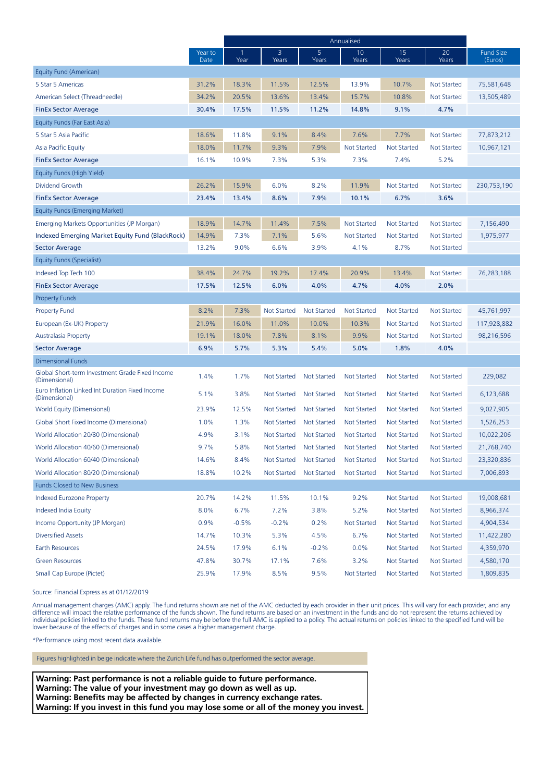|                                                                  |                 | Annualised |                    |                         |                    |                    |                    |                             |
|------------------------------------------------------------------|-----------------|------------|--------------------|-------------------------|--------------------|--------------------|--------------------|-----------------------------|
|                                                                  | Year to<br>Date | Year       | 3<br>Years         | 5 <sub>5</sub><br>Years | 10<br>Years        | 15<br>Years        | 20<br>Years        | <b>Fund Size</b><br>(Euros) |
| Equity Fund (American)                                           |                 |            |                    |                         |                    |                    |                    |                             |
| 5 Star 5 Americas                                                | 31.2%           | 18.3%      | 11.5%              | 12.5%                   | 13.9%              | 10.7%              | <b>Not Started</b> | 75,581,648                  |
| American Select (Threadneedle)                                   | 34.2%           | 20.5%      | 13.6%              | 13.4%                   | 15.7%              | 10.8%              | Not Started        | 13,505,489                  |
| <b>FinEx Sector Average</b>                                      | 30.4%           | 17.5%      | 11.5%              | 11.2%                   | 14.8%              | 9.1%               | 4.7%               |                             |
| Equity Funds (Far East Asia)                                     |                 |            |                    |                         |                    |                    |                    |                             |
| 5 Star 5 Asia Pacific                                            | 18.6%           | 11.8%      | 9.1%               | 8.4%                    | 7.6%               | 7.7%               | <b>Not Started</b> | 77,873,212                  |
| Asia Pacific Equity                                              | 18.0%           | 11.7%      | 9.3%               | 7.9%                    | <b>Not Started</b> | <b>Not Started</b> | <b>Not Started</b> | 10,967,121                  |
| <b>FinEx Sector Average</b>                                      | 16.1%           | 10.9%      | 7.3%               | 5.3%                    | 7.3%               | 7.4%               | 5.2%               |                             |
| Equity Funds (High Yield)                                        |                 |            |                    |                         |                    |                    |                    |                             |
| Dividend Growth                                                  | 26.2%           | 15.9%      | 6.0%               | 8.2%                    | 11.9%              | <b>Not Started</b> | <b>Not Started</b> | 230,753,190                 |
| <b>FinEx Sector Average</b>                                      | 23.4%           | 13.4%      | 8.6%               | 7.9%                    | 10.1%              | 6.7%               | 3.6%               |                             |
| Equity Funds (Emerging Market)                                   |                 |            |                    |                         |                    |                    |                    |                             |
| Emerging Markets Opportunities (JP Morgan)                       | 18.9%           | 14.7%      | 11.4%              | 7.5%                    | <b>Not Started</b> | <b>Not Started</b> | Not Started        | 7,156,490                   |
| Indexed Emerging Market Equity Fund (BlackRock)                  | 14.9%           | 7.3%       | 7.1%               | 5.6%                    | <b>Not Started</b> | <b>Not Started</b> | Not Started        | 1,975,977                   |
| Sector Average                                                   | 13.2%           | 9.0%       | 6.6%               | 3.9%                    | 4.1%               | 8.7%               | Not Started        |                             |
| Equity Funds (Specialist)                                        |                 |            |                    |                         |                    |                    |                    |                             |
| Indexed Top Tech 100                                             | 38.4%           | 24.7%      | 19.2%              | 17.4%                   | 20.9%              | 13.4%              | Not Started        | 76,283,188                  |
| <b>FinEx Sector Average</b>                                      | 17.5%           | 12.5%      | 6.0%               | 4.0%                    | 4.7%               | 4.0%               | 2.0%               |                             |
| <b>Property Funds</b>                                            |                 |            |                    |                         |                    |                    |                    |                             |
| <b>Property Fund</b>                                             | 8.2%            | 7.3%       | Not Started        | <b>Not Started</b>      | <b>Not Started</b> | <b>Not Started</b> | Not Started        | 45,761,997                  |
| European (Ex-UK) Property                                        | 21.9%           | 16.0%      | 11.0%              | 10.0%                   | 10.3%              | <b>Not Started</b> | Not Started        | 117,928,882                 |
| <b>Australasia Property</b>                                      | 19.1%           | 18.0%      | 7.8%               | 8.1%                    | 9.9%               | <b>Not Started</b> | Not Started        | 98,216,596                  |
| <b>Sector Average</b>                                            | 6.9%            | 5.7%       | 5.3%               | 5.4%                    | 5.0%               | 1.8%               | 4.0%               |                             |
| <b>Dimensional Funds</b>                                         |                 |            |                    |                         |                    |                    |                    |                             |
| Global Short-term Investment Grade Fixed Income<br>(Dimensional) | 1.4%            | 1.7%       | Not Started        | <b>Not Started</b>      | <b>Not Started</b> | <b>Not Started</b> | Not Started        | 229,082                     |
| Euro Inflation Linked Int Duration Fixed Income<br>(Dimensional) | 5.1%            | 3.8%       | Not Started        | <b>Not Started</b>      | <b>Not Started</b> | <b>Not Started</b> | Not Started        | 6,123,688                   |
| World Equity (Dimensional)                                       | 23.9%           | 12.5%      | Not Started        | <b>Not Started</b>      | <b>Not Started</b> | <b>Not Started</b> | <b>Not Started</b> | 9,027,905                   |
| Global Short Fixed Income (Dimensional)                          | 1.0%            | 1.3%       | Not Started        | <b>Not Started</b>      | <b>Not Started</b> | <b>Not Started</b> | Not Started        | 1,526,253                   |
| World Allocation 20/80 (Dimensional)                             | 4.9%            | 3.1%       | <b>Not Started</b> | <b>Not Started</b>      | <b>Not Started</b> | <b>Not Started</b> | Not Started        | 10,022,206                  |
| World Allocation 40/60 (Dimensional)                             | 9.7%            | 5.8%       | Not Started        | <b>Not Started</b>      | <b>Not Started</b> | <b>Not Started</b> | <b>Not Started</b> | 21,768,740                  |
| World Allocation 60/40 (Dimensional)                             | 14.6%           | 8.4%       | Not Started        | <b>Not Started</b>      | Not Started        | <b>Not Started</b> | Not Started        | 23,320,836                  |
| World Allocation 80/20 (Dimensional)                             | 18.8%           | 10.2%      | Not Started        | <b>Not Started</b>      | <b>Not Started</b> | <b>Not Started</b> | Not Started        | 7,006,893                   |
| <b>Funds Closed to New Business</b>                              |                 |            |                    |                         |                    |                    |                    |                             |
| Indexed Eurozone Property                                        | 20.7%           | 14.2%      | 11.5%              | 10.1%                   | 9.2%               | <b>Not Started</b> | Not Started        | 19,008,681                  |
| Indexed India Equity                                             | 8.0%            | 6.7%       | 7.2%               | 3.8%                    | 5.2%               | <b>Not Started</b> | Not Started        | 8,966,374                   |
| Income Opportunity (JP Morgan)                                   | 0.9%            | $-0.5%$    | $-0.2%$            | 0.2%                    | <b>Not Started</b> | <b>Not Started</b> | <b>Not Started</b> | 4,904,534                   |
| <b>Diversified Assets</b>                                        | 14.7%           | 10.3%      | 5.3%               | 4.5%                    | 6.7%               | Not Started        | <b>Not Started</b> | 11,422,280                  |
| Earth Resources                                                  | 24.5%           | 17.9%      | 6.1%               | $-0.2%$                 | 0.0%               | <b>Not Started</b> | <b>Not Started</b> | 4,359,970                   |
| <b>Green Resources</b>                                           | 47.8%           | 30.7%      | 17.1%              | 7.6%                    | 3.2%               | <b>Not Started</b> | <b>Not Started</b> | 4,580,170                   |
| Small Cap Europe (Pictet)                                        | 25.9%           | 17.9%      | 8.5%               | 9.5%                    | <b>Not Started</b> | <b>Not Started</b> | <b>Not Started</b> | 1,809,835                   |

Source: Financial Express as at 01/12/2019

Annual management charges (AMC) apply. The fund returns shown are net of the AMC deducted by each provider in their unit prices. This will vary for each provider, and any difference will impact the relative performance of the funds shown. The fund returns are based on an investment in the funds and do not represent the returns achieved by individual policies linked to the funds. These fund returns may be before the full AMC is applied to a policy. The actual returns on policies linked to the specified fund will be lower because of the effects of charges and in some cases a higher management charge.

\*Performance using most recent data available.

Figures highlighted in beige indicate where the Zurich Life fund has outperformed the sector average.

**Warning: Past performance is not a reliable guide to future performance. Warning: The value of your investment may go down as well as up. Warning: Benefits may be affected by changes in currency exchange rates. Warning: If you invest in this fund you may lose some or all of the money you invest.**